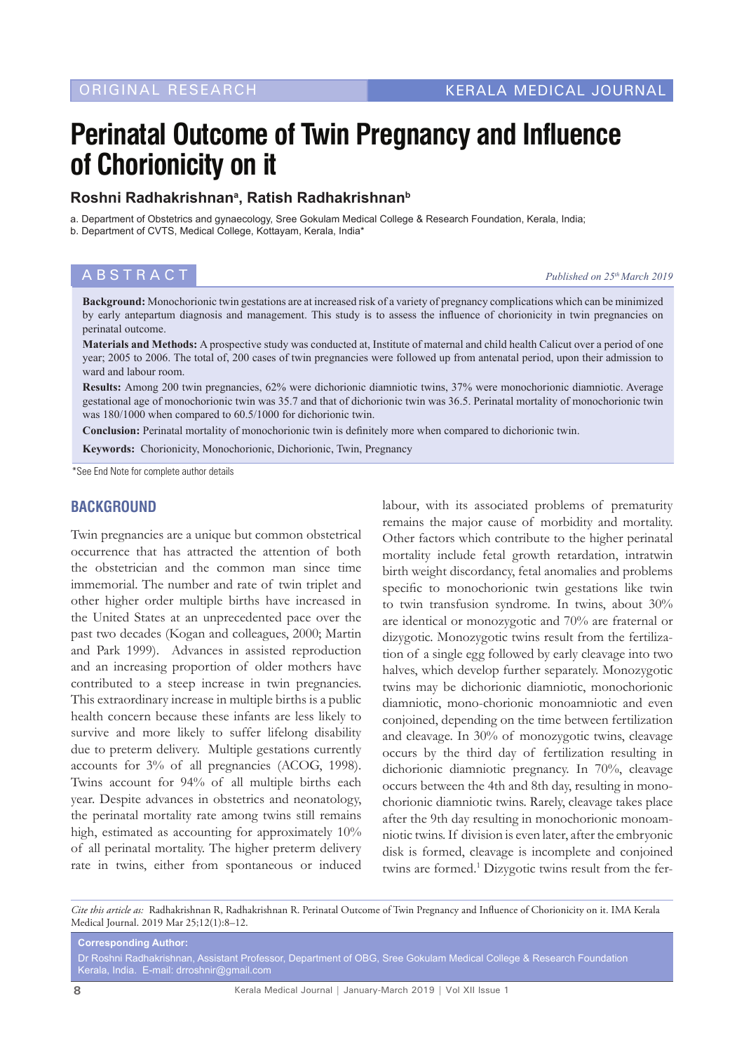# **Perinatal Outcome of Twin Pregnancy and Influence of Chorionicity on it**

## **Roshni Radhakrishnana , Ratish Radhakrishnanb**

a. Department of Obstetrics and gynaecology, Sree Gokulam Medical College & Research Foundation, Kerala, India; b. Department of CVTS, Medical College, Kottayam, Kerala, India\*

# **ABSTRACT** *Published on 25<sup>th</sup> March 2019*

**Background:** Monochorionic twin gestations are at increased risk of a variety of pregnancy complications which can be minimized by early antepartum diagnosis and management. This study is to assess the influence of chorionicity in twin pregnancies on perinatal outcome.

**Materials and Methods:** A prospective study was conducted at, Institute of maternal and child health Calicut over a period of one year; 2005 to 2006. The total of, 200 cases of twin pregnancies were followed up from antenatal period, upon their admission to ward and labour room.

**Results:** Among 200 twin pregnancies, 62% were dichorionic diamniotic twins, 37% were monochorionic diamniotic. Average gestational age of monochorionic twin was 35.7 and that of dichorionic twin was 36.5. Perinatal mortality of monochorionic twin was 180/1000 when compared to 60.5/1000 for dichorionic twin.

**Conclusion:** Perinatal mortality of monochorionic twin is definitely more when compared to dichorionic twin.

**Keywords:** Chorionicity, Monochorionic, Dichorionic, Twin, Pregnancy

\*See End Note for complete author details

#### **BACKGROUND**

Twin pregnancies are a unique but common obstetrical occurrence that has attracted the attention of both the obstetrician and the common man since time immemorial. The number and rate of twin triplet and other higher order multiple births have increased in the United States at an unprecedented pace over the past two decades (Kogan and colleagues, 2000; Martin and Park 1999). Advances in assisted reproduction and an increasing proportion of older mothers have contributed to a steep increase in twin pregnancies. This extraordinary increase in multiple births is a public health concern because these infants are less likely to survive and more likely to suffer lifelong disability due to preterm delivery. Multiple gestations currently accounts for 3% of all pregnancies (ACOG, 1998). Twins account for 94% of all multiple births each year. Despite advances in obstetrics and neonatology, the perinatal mortality rate among twins still remains high, estimated as accounting for approximately 10% of all perinatal mortality. The higher preterm delivery rate in twins, either from spontaneous or induced

labour, with its associated problems of prematurity remains the major cause of morbidity and mortality. Other factors which contribute to the higher perinatal mortality include fetal growth retardation, intratwin birth weight discordancy, fetal anomalies and problems specific to monochorionic twin gestations like twin to twin transfusion syndrome. In twins, about 30% are identical or monozygotic and 70% are fraternal or dizygotic. Monozygotic twins result from the fertilization of a single egg followed by early cleavage into two halves, which develop further separately. Monozygotic twins may be dichorionic diamniotic, monochorionic diamniotic, mono-chorionic monoamniotic and even conjoined, depending on the time between fertilization and cleavage. In 30% of monozygotic twins, cleavage occurs by the third day of fertilization resulting in dichorionic diamniotic pregnancy. In 70%, cleavage occurs between the 4th and 8th day, resulting in monochorionic diamniotic twins. Rarely, cleavage takes place after the 9th day resulting in monochorionic monoamniotic twins. If division is even later, after the embryonic disk is formed, cleavage is incomplete and conjoined twins are formed.<sup>1</sup> Dizygotic twins result from the fer-

*Cite this article as:* Radhakrishnan R, Radhakrishnan R. Perinatal Outcome of Twin Pregnancy and Influence of Chorionicity on it. IMA Kerala Medical Journal. 2019 Mar 25;12(1):8–12.

**Corresponding Author:** Dr Roshni Radhakrishnan, Assistant Professor, Department of OBG, Sree Gokulam Medical College & Research Foundation Kerala, India. E-mail: drroshnir@gmail.com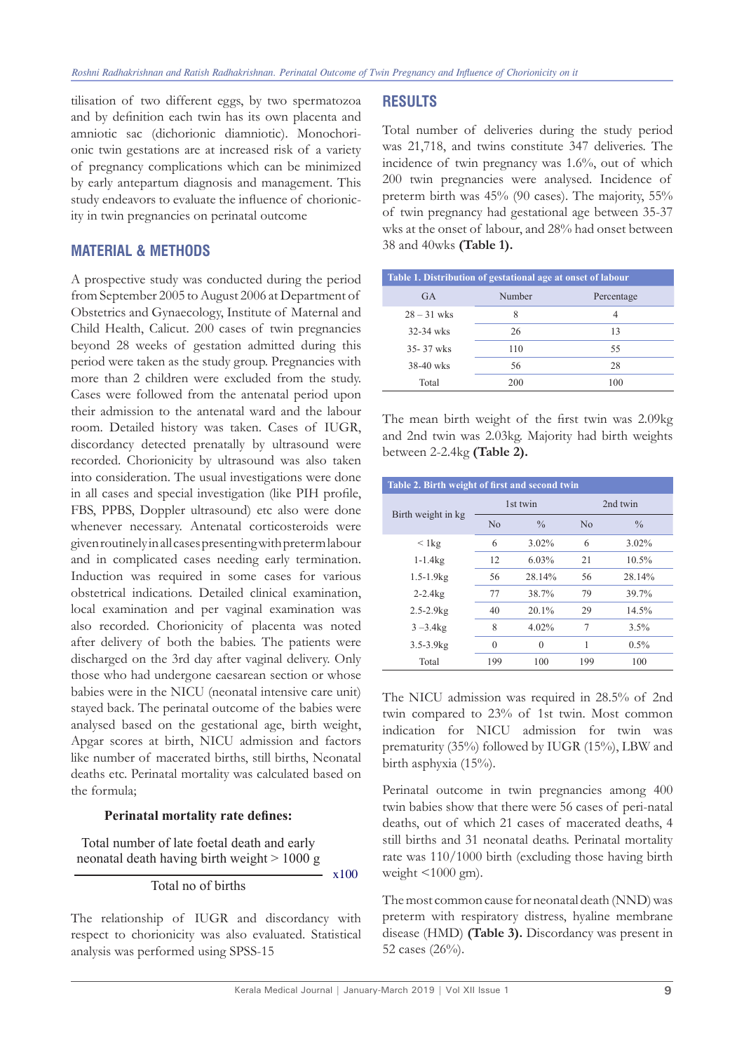tilisation of two different eggs, by two spermatozoa and by definition each twin has its own placenta and amniotic sac (dichorionic diamniotic). Monochorionic twin gestations are at increased risk of a variety of pregnancy complications which can be minimized by early antepartum diagnosis and management. This study endeavors to evaluate the influence of chorionicity in twin pregnancies on perinatal outcome

## **MATERIAL & METHODS**

A prospective study was conducted during the period from September 2005 to August 2006 at Department of Obstetrics and Gynaecology, Institute of Maternal and Child Health, Calicut. 200 cases of twin pregnancies beyond 28 weeks of gestation admitted during this period were taken as the study group. Pregnancies with more than 2 children were excluded from the study. Cases were followed from the antenatal period upon their admission to the antenatal ward and the labour room. Detailed history was taken. Cases of IUGR, discordancy detected prenatally by ultrasound were recorded. Chorionicity by ultrasound was also taken into consideration. The usual investigations were done in all cases and special investigation (like PIH profile, FBS, PPBS, Doppler ultrasound) etc also were done whenever necessary. Antenatal corticosteroids were given routinely in all cases presenting with preterm labour and in complicated cases needing early termination. Induction was required in some cases for various obstetrical indications. Detailed clinical examination, local examination and per vaginal examination was also recorded. Chorionicity of placenta was noted after delivery of both the babies. The patients were discharged on the 3rd day after vaginal delivery. Only those who had undergone caesarean section or whose babies were in the NICU (neonatal intensive care unit) stayed back. The perinatal outcome of the babies were analysed based on the gestational age, birth weight, Apgar scores at birth, NICU admission and factors like number of macerated births, still births, Neonatal deaths etc. Perinatal mortality was calculated based on the formula;

#### **Perinatal mortality rate defines:**

Total number of late foetal death and early neonatal death having birth weight > 1000 g

#### Total no of births

The relationship of IUGR and discordancy with respect to chorionicity was also evaluated. Statistical analysis was performed using SPSS-15

#### **RESULTS**

Total number of deliveries during the study period was 21,718, and twins constitute 347 deliveries. The incidence of twin pregnancy was 1.6%, out of which 200 twin pregnancies were analysed. Incidence of preterm birth was 45% (90 cases). The majority, 55% of twin pregnancy had gestational age between 35-37 wks at the onset of labour, and 28% had onset between 38 and 40wks **(Table 1).**

| Table 1. Distribution of gestational age at onset of labour |        |            |  |
|-------------------------------------------------------------|--------|------------|--|
| GA                                                          | Number | Percentage |  |
| $28 - 31$ wks                                               | 8      | 4          |  |
| $32 - 34$ wks                                               | 26     | 13         |  |
| $35 - 37$ wks                                               | 110    | 55         |  |
| $38-40$ wks                                                 | 56     | 28         |  |
| Total                                                       | 200    | 100        |  |

The mean birth weight of the first twin was 2.09kg and 2nd twin was 2.03kg. Majority had birth weights between 2-2.4kg **(Table 2).**

| Table 2. Birth weight of first and second twin |                |               |          |               |
|------------------------------------------------|----------------|---------------|----------|---------------|
| Birth weight in kg                             | 1st twin       |               | 2nd twin |               |
|                                                | N <sub>0</sub> | $\frac{0}{0}$ | No       | $\frac{0}{0}$ |
| $< 1 \text{kg}$                                | 6              | $3.02\%$      | 6        | $3.02\%$      |
| $1 - 1.4kg$                                    | 12             | 6.03%         | 21       | 10.5%         |
| $1.5 - 1.9$ $kg$                               | 56             | 28.14%        | 56       | 28.14%        |
| $2 - 2.4kg$                                    | 77             | 38.7%         | 79       | 39.7%         |
| $2.5 - 2.9$ $kg$                               | 40             | $20.1\%$      | 29       | 14.5%         |
| $3 - 3.4$ kg                                   | 8              | 4.02%         | 7        | 3.5%          |
| $3.5 - 3.9$ $kg$                               | $\theta$       | 0             | 1        | $0.5\%$       |
| Total                                          | 199            | 100           | 199      | 100           |

The NICU admission was required in 28.5% of 2nd twin compared to 23% of 1st twin. Most common indication for NICU admission for twin was prematurity (35%) followed by IUGR (15%), LBW and birth asphyxia (15%).

Perinatal outcome in twin pregnancies among 400 twin babies show that there were 56 cases of peri-natal deaths, out of which 21 cases of macerated deaths, 4 still births and 31 neonatal deaths. Perinatal mortality rate was 110/1000 birth (excluding those having birth weight  $\leq 1000$  gm).

The most common cause for neonatal death (NND) was preterm with respiratory distress, hyaline membrane disease (HMD) **(Table 3).** Discordancy was present in 52 cases (26%).

x100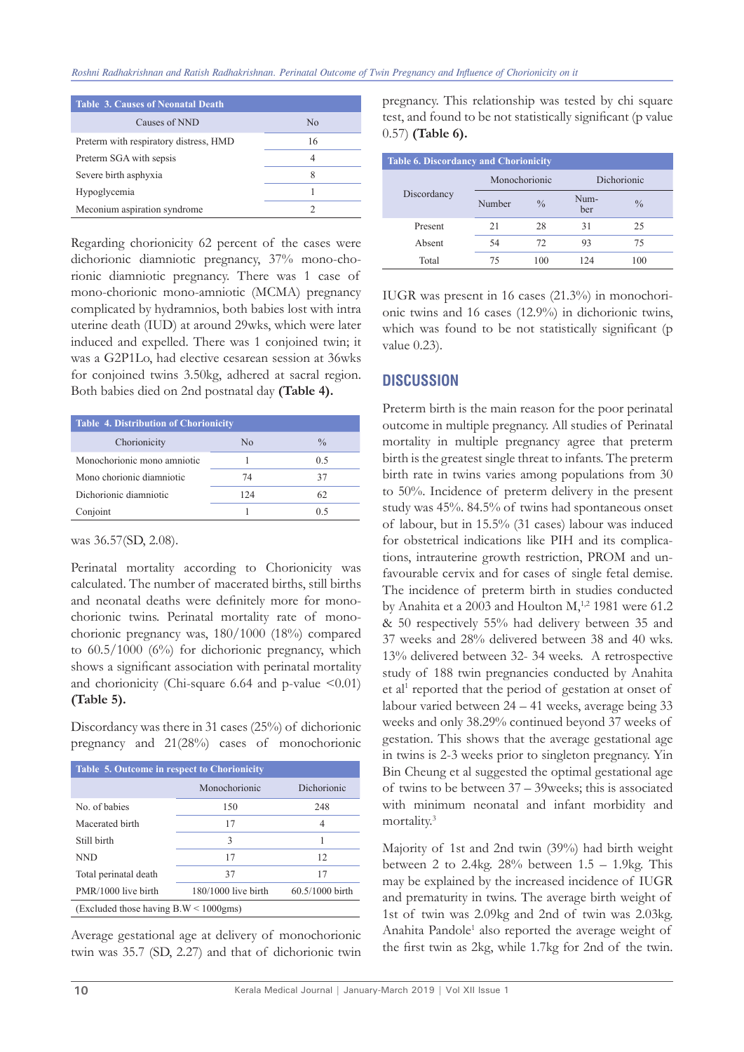| <b>Table 3. Causes of Neonatal Death</b> |    |  |  |
|------------------------------------------|----|--|--|
| Causes of NND                            | No |  |  |
| Preterm with respiratory distress, HMD   | 16 |  |  |
| Preterm SGA with sepsis                  | 4  |  |  |
| Severe birth asphyxia                    | 8  |  |  |
| Hypoglycemia                             |    |  |  |
| Meconium aspiration syndrome             |    |  |  |

Regarding chorionicity 62 percent of the cases were dichorionic diamniotic pregnancy, 37% mono-chorionic diamniotic pregnancy. There was 1 case of mono-chorionic mono-amniotic (MCMA) pregnancy complicated by hydramnios, both babies lost with intra uterine death (IUD) at around 29wks, which were later induced and expelled. There was 1 conjoined twin; it was a G2P1Lo, had elective cesarean session at 36wks for conjoined twins 3.50kg, adhered at sacral region. Both babies died on 2nd postnatal day **(Table 4).**

| <b>Table 4. Distribution of Chorionicity</b> |     |               |  |
|----------------------------------------------|-----|---------------|--|
| Chorionicity                                 | No  | $\frac{0}{0}$ |  |
| Monochorionic mono amniotic                  |     | 0.5           |  |
| Mono chorionic diamniotic                    | 74  | 37            |  |
| Dichorionic diamniotic                       | 124 | 62            |  |
| Conjoint                                     |     | 05            |  |

was 36.57(SD, 2.08).

Perinatal mortality according to Chorionicity was calculated. The number of macerated births, still births and neonatal deaths were definitely more for monochorionic twins. Perinatal mortality rate of monochorionic pregnancy was, 180/1000 (18%) compared to 60.5/1000 (6%) for dichorionic pregnancy, which shows a significant association with perinatal mortality and chorionicity (Chi-square 6.64 and p-value  $\leq 0.01$ ) **(Table 5).**

Discordancy was there in 31 cases (25%) of dichorionic pregnancy and 21(28%) cases of monochorionic

| Table 5. Outcome in respect to Chorionicity      |                       |                 |  |  |
|--------------------------------------------------|-----------------------|-----------------|--|--|
|                                                  | Monochorionic         | Dichorionic     |  |  |
| No. of babies                                    | 150                   | 248             |  |  |
| Macerated birth                                  | 17                    | 4               |  |  |
| Still birth                                      | 3                     |                 |  |  |
| <b>NND</b>                                       | 17                    | 12              |  |  |
| Total perinatal death                            | 37                    |                 |  |  |
| PMR/1000 live birth                              | $180/1000$ live birth | 60.5/1000 birth |  |  |
| (Excluded those having $B.W < 1000 \text{gms}$ ) |                       |                 |  |  |

Average gestational age at delivery of monochorionic twin was 35.7 (SD, 2.27) and that of dichorionic twin pregnancy. This relationship was tested by chi square test, and found to be not statistically significant (p value 0.57) **(Table 6).**

| <b>Table 6. Discordancy and Chorionicity</b> |               |               |             |               |
|----------------------------------------------|---------------|---------------|-------------|---------------|
| Discordancy                                  | Monochorionic |               | Dichorionic |               |
|                                              | Number        | $\frac{0}{0}$ | Num-<br>ber | $\frac{0}{0}$ |
| Present                                      | 21            | 28            | 31          | 25            |
| Absent                                       | 54            | 72            | 93          | 75            |
| Total                                        | 75            | 100           | 124         | 100           |

IUGR was present in 16 cases (21.3%) in monochorionic twins and 16 cases (12.9%) in dichorionic twins, which was found to be not statistically significant (p value 0.23).

## **DISCUSSION**

Preterm birth is the main reason for the poor perinatal outcome in multiple pregnancy. All studies of Perinatal mortality in multiple pregnancy agree that preterm birth is the greatest single threat to infants. The preterm birth rate in twins varies among populations from 30 to 50%. Incidence of preterm delivery in the present study was 45%. 84.5% of twins had spontaneous onset of labour, but in 15.5% (31 cases) labour was induced for obstetrical indications like PIH and its complications, intrauterine growth restriction, PROM and unfavourable cervix and for cases of single fetal demise. The incidence of preterm birth in studies conducted by Anahita et a 2003 and Houlton  $M<sub>1</sub><sup>1,2</sup>$  1981 were 61.2 & 50 respectively 55% had delivery between 35 and 37 weeks and 28% delivered between 38 and 40 wks. 13% delivered between 32- 34 weeks. A retrospective study of 188 twin pregnancies conducted by Anahita et al<sup>1</sup> reported that the period of gestation at onset of labour varied between 24 – 41 weeks, average being 33 weeks and only 38.29% continued beyond 37 weeks of gestation. This shows that the average gestational age in twins is 2-3 weeks prior to singleton pregnancy. Yin Bin Cheung et al suggested the optimal gestational age of twins to be between 37 – 39weeks; this is associated with minimum neonatal and infant morbidity and mortality.3

Majority of 1st and 2nd twin (39%) had birth weight between 2 to 2.4kg. 28% between 1.5 – 1.9kg. This may be explained by the increased incidence of IUGR and prematurity in twins. The average birth weight of 1st of twin was 2.09kg and 2nd of twin was 2.03kg. Anahita Pandole<sup>1</sup> also reported the average weight of the first twin as 2kg, while 1.7kg for 2nd of the twin.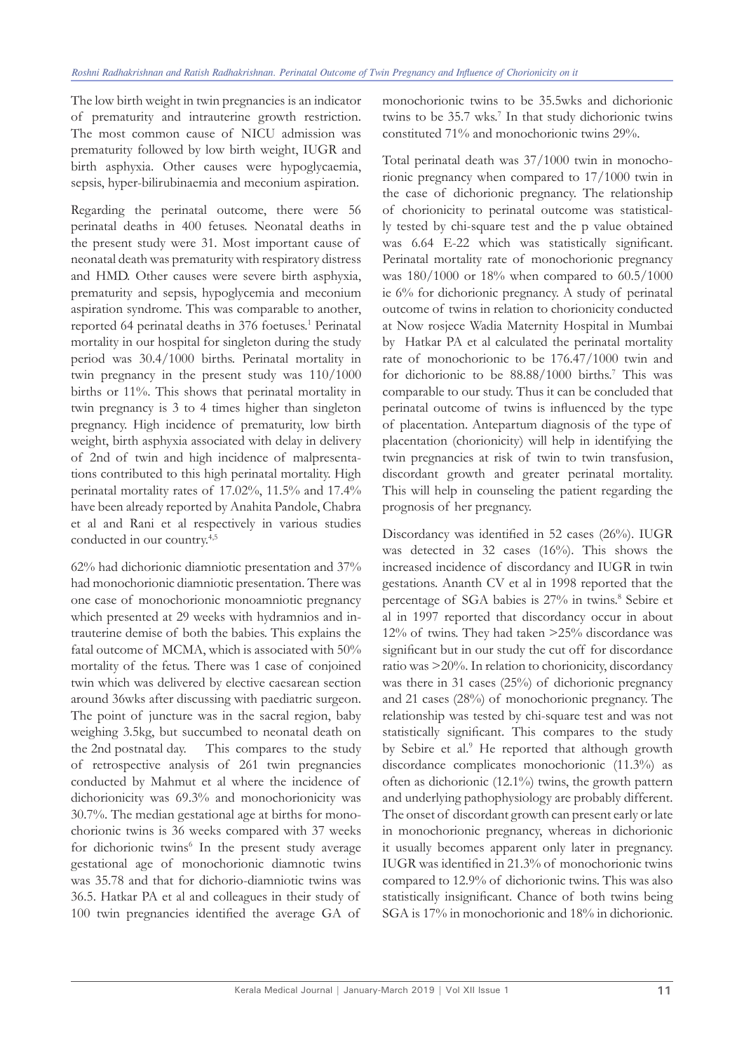The low birth weight in twin pregnancies is an indicator of prematurity and intrauterine growth restriction. The most common cause of NICU admission was prematurity followed by low birth weight, IUGR and birth asphyxia. Other causes were hypoglycaemia, sepsis, hyper-bilirubinaemia and meconium aspiration.

Regarding the perinatal outcome, there were 56 perinatal deaths in 400 fetuses. Neonatal deaths in the present study were 31. Most important cause of neonatal death was prematurity with respiratory distress and HMD. Other causes were severe birth asphyxia, prematurity and sepsis, hypoglycemia and meconium aspiration syndrome. This was comparable to another, reported 64 perinatal deaths in 376 foetuses.<sup>1</sup> Perinatal mortality in our hospital for singleton during the study period was 30.4/1000 births. Perinatal mortality in twin pregnancy in the present study was 110/1000 births or 11%. This shows that perinatal mortality in twin pregnancy is 3 to 4 times higher than singleton pregnancy. High incidence of prematurity, low birth weight, birth asphyxia associated with delay in delivery of 2nd of twin and high incidence of malpresentations contributed to this high perinatal mortality. High perinatal mortality rates of 17.02%, 11.5% and 17.4% have been already reported by Anahita Pandole, Chabra et al and Rani et al respectively in various studies conducted in our country.4,5

62% had dichorionic diamniotic presentation and 37% had monochorionic diamniotic presentation. There was one case of monochorionic monoamniotic pregnancy which presented at 29 weeks with hydramnios and intrauterine demise of both the babies. This explains the fatal outcome of MCMA, which is associated with 50% mortality of the fetus. There was 1 case of conjoined twin which was delivered by elective caesarean section around 36wks after discussing with paediatric surgeon. The point of juncture was in the sacral region, baby weighing 3.5kg, but succumbed to neonatal death on the 2nd postnatal day. This compares to the study of retrospective analysis of 261 twin pregnancies conducted by Mahmut et al where the incidence of dichorionicity was 69.3% and monochorionicity was 30.7%. The median gestational age at births for monochorionic twins is 36 weeks compared with 37 weeks for dichorionic twins<sup>6</sup> In the present study average gestational age of monochorionic diamnotic twins was 35.78 and that for dichorio-diamniotic twins was 36.5. Hatkar PA et al and colleagues in their study of 100 twin pregnancies identified the average GA of

monochorionic twins to be 35.5wks and dichorionic twins to be 35.7 wks.<sup>7</sup> In that study dichorionic twins constituted 71% and monochorionic twins 29%.

Total perinatal death was 37/1000 twin in monochorionic pregnancy when compared to 17/1000 twin in the case of dichorionic pregnancy. The relationship of chorionicity to perinatal outcome was statistically tested by chi-square test and the p value obtained was 6.64 E-22 which was statistically significant. Perinatal mortality rate of monochorionic pregnancy was 180/1000 or 18% when compared to 60.5/1000 ie 6% for dichorionic pregnancy. A study of perinatal outcome of twins in relation to chorionicity conducted at Now rosjece Wadia Maternity Hospital in Mumbai by Hatkar PA et al calculated the perinatal mortality rate of monochorionic to be 176.47/1000 twin and for dichorionic to be  $88.88/1000$  births.<sup>7</sup> This was comparable to our study. Thus it can be concluded that perinatal outcome of twins is influenced by the type of placentation. Antepartum diagnosis of the type of placentation (chorionicity) will help in identifying the twin pregnancies at risk of twin to twin transfusion, discordant growth and greater perinatal mortality. This will help in counseling the patient regarding the prognosis of her pregnancy.

Discordancy was identified in 52 cases (26%). IUGR was detected in 32 cases (16%). This shows the increased incidence of discordancy and IUGR in twin gestations. Ananth CV et al in 1998 reported that the percentage of SGA babies is 27% in twins.<sup>8</sup> Sebire et al in 1997 reported that discordancy occur in about 12% of twins. They had taken >25% discordance was significant but in our study the cut off for discordance ratio was >20%. In relation to chorionicity, discordancy was there in 31 cases (25%) of dichorionic pregnancy and 21 cases (28%) of monochorionic pregnancy. The relationship was tested by chi-square test and was not statistically significant. This compares to the study by Sebire et al.<sup>9</sup> He reported that although growth discordance complicates monochorionic (11.3%) as often as dichorionic (12.1%) twins, the growth pattern and underlying pathophysiology are probably different. The onset of discordant growth can present early or late in monochorionic pregnancy, whereas in dichorionic it usually becomes apparent only later in pregnancy. IUGR was identified in 21.3% of monochorionic twins compared to 12.9% of dichorionic twins. This was also statistically insignificant. Chance of both twins being SGA is 17% in monochorionic and 18% in dichorionic.